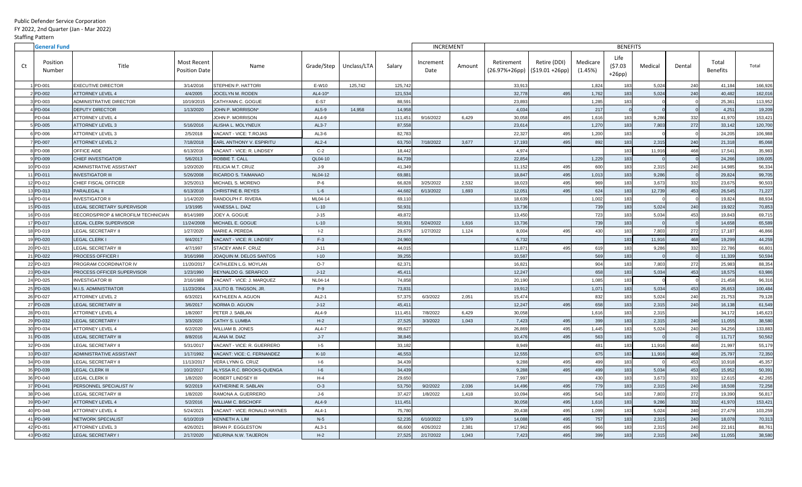Public Defender Service Corporation FY 2022, 2nd Quarter (Jan - Mar 2022) Staffing Pattern

| <b>General Fund</b>      |                                     |                                            |                                  |              |             |         | <b>INCREMENT</b>  |        | <b>BENEFITS</b> |                                                 |                     |                            |         |        |                          |         |
|--------------------------|-------------------------------------|--------------------------------------------|----------------------------------|--------------|-------------|---------|-------------------|--------|-----------------|-------------------------------------------------|---------------------|----------------------------|---------|--------|--------------------------|---------|
| Position<br>Ct<br>Number | Title                               | <b>Most Recent</b><br><b>Position Date</b> | Name                             | Grade/Step   | Unclass/LTA | Salary  | Increment<br>Date | Amount | Retirement      | Retire (DDI)<br>$(26.97%+26pp)$ (\$19.01 +26pp) | Medicare<br>(1.45%) | Life<br>(57.03)<br>$+26pp$ | Medical | Dental | Total<br><b>Benefits</b> | Total   |
| PD-001                   | <b>EXECUTIVE DIRECTOR</b>           | 3/14/2016                                  | STEPHEN P. HATTORI               | E-W10        | 125,742     | 125,742 |                   |        | 33,913          |                                                 | 1,824               | 183                        | 5,024   | 240    | 41,184                   | 166,926 |
| PD-002                   | ATTORNEY LEVEL 4                    | 4/4/2005                                   | JOCELYN M. RODEN                 | AL4-10*      |             | 121,534 |                   |        | 32,778          | 495                                             | 1,762               | 183                        | 5,024   | 240    | 40,482                   | 162,016 |
| PD-003                   | ADMINISTRATIVE DIRECTOR             | 10/19/2015                                 | CATHYANN C. GOGUE                | $E-S7$       |             | 88,591  |                   |        | 23,893          |                                                 | 1,285               | 183                        |         |        | 25,361                   | 113,952 |
| PD-004                   | <b>DEPUTY DIRECTOR</b>              | 1/13/2020                                  | JOHN P. MORRISON*                | AL5-9        | 14,958      | 14,958  |                   |        | 4,034           |                                                 | 217                 |                            |         |        | 4,251                    | 19,209  |
| PD-044                   | ATTORNEY LEVEL 4                    |                                            | JOHN P. MORRISON                 | AL4-9        |             | 111,451 | 9/16/2022         | 6,429  | 30,058          | 495                                             | 1,616               | 183                        | 9,286   | 332    | 41,970                   | 153,421 |
| PD-005                   | <b>ATTORNEY LEVEL 3</b>             | 5/16/2016                                  | ALISHA L. MOLYNEUX               | $AL3-7$      |             | 87,558  |                   |        | 23,614          |                                                 | 1,270               | 183                        | 7,803   | 272    | 33,142                   | 120,700 |
| PD-006                   | ATTORNEY LEVEL 3                    | 2/5/2018                                   | VACANT - VICE: T.ROJAS           | $AL3-6$      |             | 82,783  |                   |        | 22,327          | 495                                             | 1,200               | 183                        |         |        | 24,205                   | 106,988 |
| PD-007                   | <b>ATTORNEY LEVEL 2</b>             | 7/18/2018                                  | <b>EARL ANTHONY V. ESPIRITU</b>  | $AL2-4$      |             | 63,750  | 7/18/2022         | 3,677  | 17,193          | 495                                             | 892                 | 183                        | 2,315   | 240    | 21,318                   | 85,068  |
| PD-008                   | OFFICE AIDE                         | 6/13/2016                                  | <b>VACANT - VICE: R. LINDSEY</b> | $C-2$        |             | 18,442  |                   |        | 4,974           |                                                 |                     | 183                        | 11,916  | 468    | 17,541                   | 35,983  |
| PD-009                   | <b>CHIEF INVESTIGATOR</b>           | 5/6/2013                                   | <b>ROBBIE T. CALL</b>            | QL04-10      |             | 84,739  |                   |        | 22,854          |                                                 | 1,229               | 183                        |         |        | 24,266                   | 109,005 |
| 10 PD-010                | ADMINISTRATIVE ASSISTANT            | 1/20/2020                                  | FELICIA M.T. CRUZ                | J-9          |             | 41,349  |                   |        | 11,152          | 495                                             | 600                 | 183                        | 2,315   | 240    | 14,985                   | 56,334  |
| PD-011                   | <b>INVESTIGATOR III</b>             | 5/26/2008                                  | RICARDO S. TAIMANAO              | NL04-12      |             | 69,881  |                   |        | 18,847          | 495                                             | 1,013               | 183                        | 9,286   |        | 29,824                   | 99,705  |
| 2 PD-012                 | CHIEF FISCAL OFFICER                | 3/25/2013                                  | MICHAEL S. MORENO                | P-6          |             | 66,828  | 3/25/2022         | 2,532  | 18,023          | 495                                             | 969                 | 183                        | 3,673   | 332    | 23,675                   | 90,503  |
| PD-013                   | PARALEGAL II                        | 6/13/2018                                  | CHRISTINE B. REYES               | $L-6$        |             | 44,682  | 6/13/2022         | 1,693  | 12,051          | 495                                             | 624                 | 183                        | 12,739  | 453    | 26,545                   | 71,227  |
| 1PD-014                  | <b>INVESTIGATOR II</b>              | 1/14/2020                                  | RANDOLPH F. RIVERA               | ML04-14      |             | 69,110  |                   |        | 18,639          |                                                 | 1,002               | 183                        |         |        | 19,824                   | 88,934  |
| 5 PD-015                 | LEGAL SECRETARY SUPERVISOR          | 1/3/1995                                   | VANESSA L. DIAZ                  | $L-10$       |             | 50,93'  |                   |        | 13,736          |                                                 | 739                 | 183                        | 5,024   | 240    | 19,922                   | 70,853  |
| PD-016                   | RECORDS/PROP & MICROFILM TECHNICIAN | 8/14/1989                                  | JOEY A. GOGUE                    | $J-15$       |             | 49,872  |                   |        | 13,450          |                                                 | 723                 | 183                        | 5,034   | 453    | 19,843                   | 69,715  |
| PD-017                   | LEGAL CLERK SUPERVISOR              | 11/24/2008                                 | MICHAEL E. GOGUE                 | $L-10$       |             | 50,931  | 5/24/2022         | 1,616  | 13,736          |                                                 | 739                 | 183                        |         |        | 14,658                   | 65,589  |
| 18 PD-019                | LEGAL SECRETARY II                  | 1/27/2020                                  | MARIE A. PEREDA                  | $I-2$        |             | 29,679  | 1/27/2022         | 1,124  | 8,004           | 495                                             | 430                 | 183                        | 7,803   | 272    | 17,187                   | 46,866  |
| 9 PD-020                 | LEGAL CLERK I                       | 9/4/2017                                   | VACANT - VICE: R. LINDSEY        | $F-3$        |             | 24,960  |                   |        | 6,732           |                                                 |                     | 183                        | 11,916  | 468    | 19,299                   | 44,259  |
| 20 PD-021                | <b>LEGAL SECRETARY III</b>          | 4/7/1997                                   | <b>STACEY ANN F. CRUZ</b>        | $J-11$       |             | 44,015  |                   |        | 11,871          | 495                                             | 619                 | 183                        | 9,286   | 332    | 22,786                   | 66,801  |
| <b>PD-022</b>            | <b>PROCESS OFFICER I</b>            | 3/16/1998                                  | JOAQUIN M. DELOS SANTOS          | $I-10$       |             | 39,255  |                   |        | 10,587          |                                                 | 569                 | 183                        |         |        | 11,339                   | 50,594  |
| 22 PD-023                | PROGRAM COORDINATOR IV              | 11/20/2017                                 | CATHLEEN L.G. MOYLAN             | O-7          |             | 62,371  |                   |        | 16,82'          |                                                 | 904                 | 183                        | 7,803   | 272    | 25,983                   | 88,354  |
| 23 PD-024                | <b>PROCESS OFFICER SUPERVISOR</b>   | 1/23/1990                                  | <b>REYNALDO G. SERAFICO</b>      | $J-12$       |             | 45,41'  |                   |        | 12,247          |                                                 | 658                 | 183                        | 5,034   | 453    | 18,575                   | 63,986  |
| 24 PD-025                | <b>INVESTIGATOR III</b>             | 2/16/1988                                  | VACANT - VICE: J. MARQUEZ        | NL04-14      |             | 74,858  |                   |        | 20,190          |                                                 | 1,085               | 183                        |         |        | 21,458                   | 96,316  |
| 25 PD-026                | M.I.S. ADMINISTRATOR                | 11/23/2004                                 | JULITO B. TINGSON, JR.           | $P-9$        |             | 73,83'  |                   |        | 19,912          |                                                 | 1,071               | 183                        | 5,034   | 453    | 26,653                   | 100,484 |
| 26 PD-027                | <b>ATTORNEY LEVEL 2</b>             | 6/3/2021                                   | KATHLEEN A. AGUON                | AL2-1        |             | 57,375  | 6/3/2022          | 2,051  | 15,474          |                                                 | 832                 | $183$                      | 5,024   | 240    | 21,753                   | 79,128  |
| 27 PD-028                | <b>LEGAL SECRETARY III</b>          | 3/6/2017                                   | NORMA D. AGUON                   | $J-12$       |             | 45,411  |                   |        | 12,247          | 495                                             | 658                 | 183                        | 2,315   | 240    | 16,138                   | 61,549  |
| 28 PD-031                | <b>ATTORNEY LEVEL 4</b>             | 1/8/2007                                   | PETER J. SABLAN                  | AL4-9        |             | 111,45' | 7/8/2022          | 6,429  | 30,058          |                                                 | 1,616               | 183                        | 2,315   |        | 34,172                   | 145,623 |
| 29 PD-032                | <b>LEGAL SECRETARY I</b>            | 3/3/2020                                   | <b>CATHY S. LUMBA</b>            | $H-2$        |             | 27,525  | 3/3/2022          | 1,043  | 7,423           | 495                                             | 399                 | 183                        | 2,315   | 240    | 11,055                   | 38,580  |
| 30 PD-034                | <b>ATTORNEY LEVEL 4</b>             | 6/2/2020                                   | WILLIAM B. JONES                 | <b>AL4-7</b> |             | 99,627  |                   |        | 26,869          | 495                                             | 1,445               | 183                        | 5,024   | 240    | 34,256                   | 133,883 |
| 1 PD-035                 | <b>LEGAL SECRETARY III</b>          | 8/8/2016                                   | ALANA M. DIAZ                    | $J - 7$      |             | 38,845  |                   |        | 10,476          | 495                                             | 563                 | 183                        |         |        | 11,717                   | 50,562  |
| 32 PD-036                | <b>LEGAL SECRETARY II</b>           | 5/31/2017                                  | VACANT - VICE: R. GUERRERO       | $I-5$        |             | 33,182  |                   |        | 8,949           |                                                 | 481                 | 183                        | 11,916  | 468    | 21,997                   | 55,179  |
| 33 PD-037                | ADMINISTRATIVE ASSISTANT            | 1/17/1992                                  | VACANT: VICE: C. FERNANDEZ       | $K-10$       |             | 46,553  |                   |        | 12,555          |                                                 | 675                 | 183                        | 11,916  | 468    | 25,797                   | 72,350  |
| 1 PD-038                 | <b>LEGAL SECRETARY II</b>           | 11/13/2017                                 | VERA LYNN G. CRUZ                | $I-6$        |             | 34,439  |                   |        | 9,288           | 495                                             | 499                 | 183                        |         | 453    | 10,918                   | 45,357  |
| 35 PD-039                | <b>LEGAL CLERK III</b>              | 10/2/2017                                  | ALYSSA R.C. BROOKS-QUENGA        | $I-6$        |             | 34,439  |                   |        | 9,288           | 495                                             | 499                 | 183                        | 5,034   | 453    | 15,952                   | 50,391  |
| 36 PD-040                | LEGAL CLERK II                      | 1/8/2020                                   | <b>ROBERT LINDSEY III</b>        | H-4          |             | 29,650  |                   |        | 7,997           |                                                 | 430                 | 183                        | 3,673   | 332    | 12,615                   | 42,265  |
| 37 PD-041                | PERSONNEL SPECIALIST IV             | 9/2/2019                                   | KATHERINE R. SABLAN              | $O-3$        |             | 53,750  | 9/2/2022          | 2,036  | 14,496          | 495                                             | 779                 | 183                        | 2,315   | 240    | 18,508                   | 72,258  |
| 38 PD-046                | <b>LEGAL SECRETARY III</b>          | 1/8/2020                                   | RAMONA A. GUERRERO               | J-6          |             | 37,427  | 1/8/2022          | 1,418  | 10,094          | 495                                             | 543                 | 183                        | 7,803   | 272    | 19,390                   | 56,817  |
| 39 PD-047                | <b>ATTORNEY LEVEL 4</b>             | 5/2/2016                                   | WILLIAM C. BISCHOFF              | AL4-9        |             | 111,45' |                   |        | 30,058          | 495                                             | 1,616               | 183                        | 9,286   | 332    | 41,970                   | 153,421 |
| 40 PD-048                | <b>ATTORNEY LEVEL 4</b>             | 5/24/2021                                  | VACANT - VICE: RONALD HAYNES     | AL4-1        |             | 75,780  |                   |        | 20,438          | 495                                             | 1,099               | 183                        | 5,024   | 240    | 27,479                   | 103,259 |
| 1 PD-049                 | <b>NETWORK SPECIALIST</b>           | 6/10/2019                                  | KENNETH A. LIM                   | $N-5$        |             | 52,235  | 6/10/2022         | 1,979  | 14,088          | 495                                             | 757                 | 183                        | 2,315   | 240    | 18,078                   | 70,313  |
| 2 PD-051                 | <b>ATTORNEY LEVEL 3</b>             | 4/26/2021                                  | BRIAN P. EGGLESTON               | $AL3-1$      |             | 66,600  | 4/26/2022         | 2,381  | 17,962          | 495                                             | 966                 | 183                        | 2,315   | 240    | 22,161                   | 88,761  |
| 43 PD-052                | LEGAL SECRETARY I                   | 2/17/2020                                  | NEURINA N.W. TAIJERON            | $H-2$        |             | 27,525  | 2/17/2022         | 1,043  | 7,423           | 495                                             | 399                 | 183                        | 2,315   | 240    | 11,055                   | 38,580  |